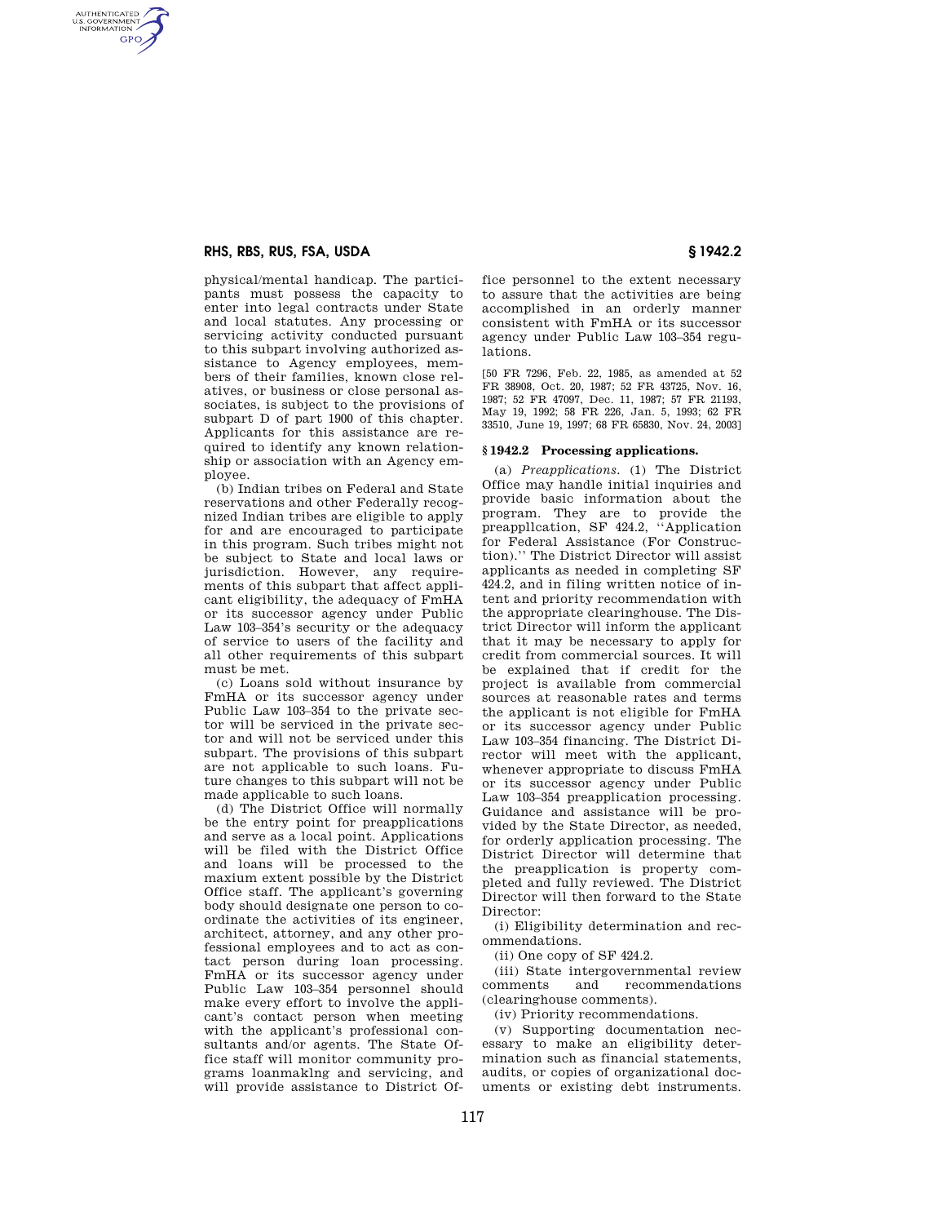## **RHS, RBS, RUS, FSA, USDA § 1942.2**

AUTHENTICATED<br>U.S. GOVERNMENT<br>INFORMATION **GPO** 

> physical/mental handicap. The participants must possess the capacity to enter into legal contracts under State and local statutes. Any processing or servicing activity conducted pursuant to this subpart involving authorized assistance to Agency employees, members of their families, known close relatives, or business or close personal associates, is subject to the provisions of subpart D of part 1900 of this chapter. Applicants for this assistance are required to identify any known relationship or association with an Agency employee.

> (b) Indian tribes on Federal and State reservations and other Federally recognized Indian tribes are eligible to apply for and are encouraged to participate in this program. Such tribes might not be subject to State and local laws or jurisdiction. However, any requirements of this subpart that affect applicant eligibility, the adequacy of FmHA or its successor agency under Public Law 103–354's security or the adequacy of service to users of the facility and all other requirements of this subpart must be met.

> (c) Loans sold without insurance by FmHA or its successor agency under Public Law 103–354 to the private sector will be serviced in the private sector and will not be serviced under this subpart. The provisions of this subpart are not applicable to such loans. Future changes to this subpart will not be made applicable to such loans.

> (d) The District Office will normally be the entry point for preapplications and serve as a local point. Applications will be filed with the District Office and loans will be processed to the maxium extent possible by the District Office staff. The applicant's governing body should designate one person to coordinate the activities of its engineer, architect, attorney, and any other professional employees and to act as contact person during loan processing. FmHA or its successor agency under Public Law 103–354 personnel should make every effort to involve the applicant's contact person when meeting with the applicant's professional consultants and/or agents. The State Office staff will monitor community programs loanmaklng and servicing, and will provide assistance to District Of

fice personnel to the extent necessary to assure that the activities are being accomplished in an orderly manner consistent with FmHA or its successor agency under Public Law 103–354 regulations.

[50 FR 7296, Feb. 22, 1985, as amended at 52 FR 38908, Oct. 20, 1987; 52 FR 43725, Nov. 16, 1987; 52 FR 47097, Dec. 11, 1987; 57 FR 21193, May 19, 1992; 58 FR 226, Jan. 5, 1993; 62 FR 33510, June 19, 1997; 68 FR 65830, Nov. 24, 2003]

## **§ 1942.2 Processing applications.**

(a) *Preapplications.* (1) The District Office may handle initial inquiries and provide basic information about the program. They are to provide the preappllcation, SF 424.2, ''Application for Federal Assistance (For Construction).'' The District Director will assist applicants as needed in completing SF 424.2, and in filing written notice of intent and priority recommendation with the appropriate clearinghouse. The District Director will inform the applicant that it may be necessary to apply for credit from commercial sources. It will be explained that if credit for the project is available from commercial sources at reasonable rates and terms the applicant is not eligible for FmHA or its successor agency under Public Law 103–354 financing. The District Director will meet with the applicant, whenever appropriate to discuss FmHA or its successor agency under Public Law 103–354 preapplication processing. Guidance and assistance will be provided by the State Director, as needed, for orderly application processing. The District Director will determine that the preapplication is property completed and fully reviewed. The District Director will then forward to the State Director:

(i) Eligibility determination and recommendations.

(ii) One copy of SF 424.2.

(iii) State intergovernmental review comments and recommendations (clearinghouse comments).

(iv) Priority recommendations.

(v) Supporting documentation necessary to make an eligibility determination such as financial statements, audits, or copies of organizational documents or existing debt instruments.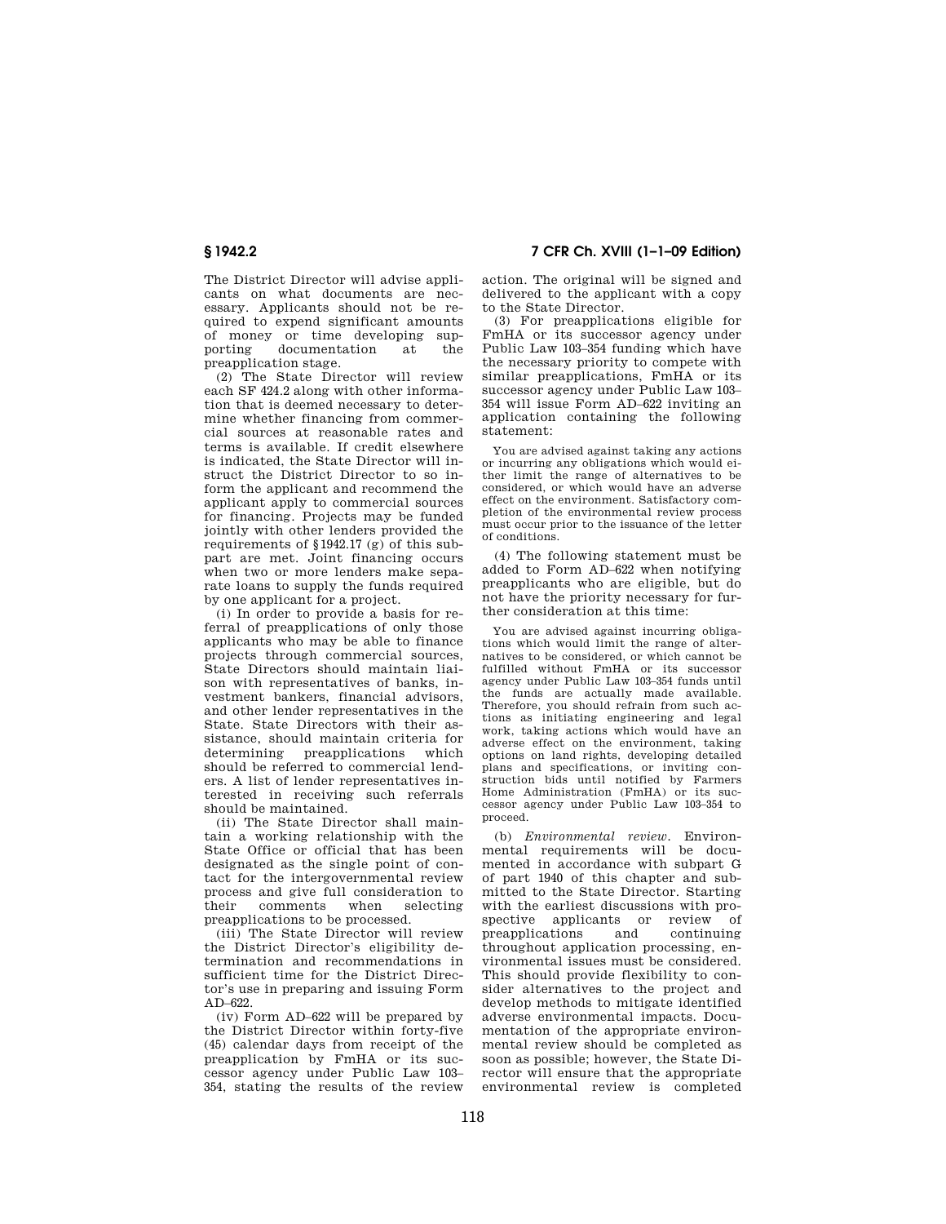The District Director will advise applicants on what documents are necessary. Applicants should not be required to expend significant amounts of money or time developing sup-<br>porting documentation at the porting documentation at the preapplication stage.

(2) The State Director will review each SF 424.2 along with other information that is deemed necessary to determine whether financing from commercial sources at reasonable rates and terms is available. If credit elsewhere is indicated, the State Director will instruct the District Director to so inform the applicant and recommend the applicant apply to commercial sources for financing. Projects may be funded jointly with other lenders provided the requirements of §1942.17 (g) of this subpart are met. Joint financing occurs when two or more lenders make separate loans to supply the funds required by one applicant for a project.

(i) In order to provide a basis for referral of preapplications of only those applicants who may be able to finance projects through commercial sources, State Directors should maintain liaison with representatives of banks, investment bankers, financial advisors, and other lender representatives in the State. State Directors with their assistance, should maintain criteria for determining preapplications which should be referred to commercial lenders. A list of lender representatives interested in receiving such referrals should be maintained.

(ii) The State Director shall maintain a working relationship with the State Office or official that has been designated as the single point of contact for the intergovernmental review process and give full consideration to their comments when selecting preapplications to be processed.

(iii) The State Director will review the District Director's eligibility determination and recommendations in sufficient time for the District Director's use in preparing and issuing Form AD–622.

(iv) Form AD–622 will be prepared by the District Director within forty-five (45) calendar days from receipt of the preapplication by FmHA or its successor agency under Public Law 103– 354, stating the results of the review

**§ 1942.2 7 CFR Ch. XVIII (1–1–09 Edition)** 

action. The original will be signed and delivered to the applicant with a copy to the State Director.

(3) For preapplications eligible for FmHA or its successor agency under Public Law 103–354 funding which have the necessary priority to compete with similar preapplications, FmHA or its successor agency under Public Law 103– 354 will issue Form AD–622 inviting an application containing the following statement:

You are advised against taking any actions or incurring any obligations which would either limit the range of alternatives to be considered, or which would have an adverse effect on the environment. Satisfactory completion of the environmental review process must occur prior to the issuance of the letter of conditions.

(4) The following statement must be added to Form AD–622 when notifying preapplicants who are eligible, but do not have the priority necessary for further consideration at this time:

You are advised against incurring obligations which would limit the range of alternatives to be considered, or which cannot be fulfilled without FmHA or its successor agency under Public Law 103–354 funds until the funds are actually made available. Therefore, you should refrain from such actions as initiating engineering and legal work, taking actions which would have an adverse effect on the environment, taking options on land rights, developing detailed plans and specifications, or inviting construction bids until notified by Farmers Home Administration (FmHA) or its successor agency under Public Law 103–354 to proceed.

(b) *Environmental review.* Environmental requirements will be documented in accordance with subpart G of part 1940 of this chapter and submitted to the State Director. Starting with the earliest discussions with prospective applicants or review of<br>preapplications and continuing preapplications throughout application processing, environmental issues must be considered. This should provide flexibility to consider alternatives to the project and develop methods to mitigate identified adverse environmental impacts. Documentation of the appropriate environmental review should be completed as soon as possible; however, the State Director will ensure that the appropriate environmental review is completed